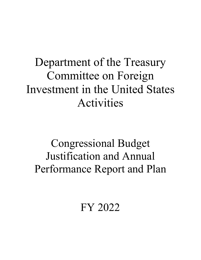# Department of the Treasury Committee on Foreign Investment in the United States Activities

# Congressional Budget Justification and Annual Performance Report and Plan

FY 2022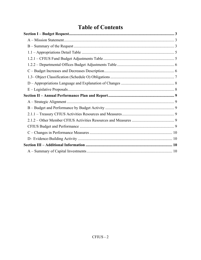# **Table of Contents**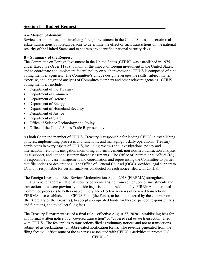# **Section I – Budget Request**

#### **A – Mission Statement**

Review certain transactions involving foreign investment in the United States and certain real estate transactions by foreign persons to determine the effect of such transactions on the national security of the United States and to address any identified national security risks.

#### **B – Summary of the Request**

The Committee on Foreign Investment in the United States (CFIUS) was established in 1975 under Executive Order 11858 to monitor the impact of foreign investment in the United States, and to coordinate and implement federal policy on such investment. CFIUS is composed of nine voting member agencies. The Committee's unique design leverages the skills, subject matter expertise, and integrated analysis of Committee members and other relevant agencies. CFIUS voting members include:

- Department of the Treasury
- Department of Commerce
- Department of Defense
- Department of Energy
- Department of Homeland Security
- Department of Justice
- Department of State
- Office of Science Technology and Policy
- Office of the United States Trade Representative

As both Chair and member of CFIUS, Treasury is responsible for leading CFIUS in establishing policies, implementing processes and functions, and managing its daily operations. Treasury participates in every aspect of CFIUS, including reviews and investigations, policy and international relations, mitigation monitoring and enforcement, non-notified transaction analysis, legal support, and national security threat assessments. The Office of International Affairs (IA) is responsible for case management and coordination and representing the Committee to parties that file notices or declarations. The Office of General Counsel (OGC) provides legal support to IA and is responsible for certain analyses conducted on each notice filed with CFIUS.

The Foreign Investment Risk Review Modernization Act of 2018 (FIRRMA) strengthened CFIUS to better address national security concerns arising from some types of investments and transactions that were previously outside its jurisdiction. Additionally, FIRRMA modernized Committee processes to better enable timely and effective reviews of covered transactions. FIRRMA also established the CFIUS Fund (the Fund), to be administered by the chairperson (the Secretary of the Treasury), to accept appropriated funds for these expanded responsibilities and functions, and to collect filing fees.

The Treasury Department issued a final rule—effective August 27, 2020—establishing fees for any formal written notice of a "covered transaction" or "covered real estate transaction" filed with CFIUS. The fee applies to transactions filed as voluntary notices and not to transactions submitted as declarations (an abbreviated notification form). The revenue generated from the filing fees will offset some of the expenses associated with CFIUS's activities to protect U.S.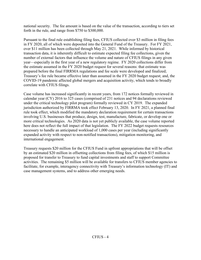national security. The fee amount is based on the value of the transaction, according to tiers set forth in the rule, and range from \$750 to \$300,000.

Pursuant to the final rule establishing filing fees, CFIUS collected over \$3 million in filing fees in FY 2020, all of which were deposited into the General Fund of the Treasury. For FY 2021, over \$11 million has been collected through May 21, 2021. While informed by historical transaction data, it is inherently difficult to estimate expected filing fee collections, given the number of external factors that influence the volume and nature of CFIUS filings in any given year—especially in the first year of a new regulatory regime. FY 2020 collections differ from the estimate assumed in the FY 2020 budget request for several reasons: that estimate was prepared before the final FIRRMA regulations and fee scale were developed and finalized; Treasury's fee rule became effective later than assumed in the FY 2020 budget request; and, the COVID-19 pandemic affected global mergers and acquisition activity, which tends to broadly correlate with CFIUS filings.

Case volume has increased significantly in recent years, from 172 notices formally reviewed in calendar year (CY) 2016 to 325 cases (comprised of 231 notices and 94 declarations reviewed under the critical technology pilot program) formally reviewed in CY 2019. The expanded jurisdiction authorized by FIRRMA took effect February 13, 2020. In FY 2021, a planned final rule took effect, which modified the mandatory declaration requirement for certain transactions involving U.S. businesses that produce, design, test, manufacture, fabricate, or develop one or more critical technologies. As 2020 data is not yet publicly available, the case volume reported here does not reflect the full impact of that legislation. The FY 2022 budget requests resources necessary to handle an anticipated workload of 1,000 cases per year (including significantly expanded activity with respect to non-notified transactions), mitigation monitoring, and international engagement.

Treasury requests \$20 million for the CFIUS Fund in upfront appropriations that will be offset by an estimated \$20 million in offsetting collections from filing fees, of which \$15 million is proposed for transfer to Treasury to fund capital investments and staff to support Committee activities. The remaining \$5 million will be available for transfers to CFIUS member agencies to facilitate, for example, interagency connectivity with Treasury's information technology (IT) and case management systems, and to address other emerging needs.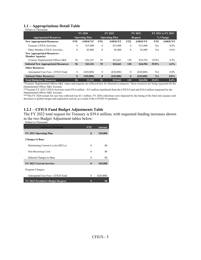#### **1.1 – Appropriations Detail Table**

| Dollars in Thousands |  |  |
|----------------------|--|--|
|                      |  |  |

|                                                               | <b>FY 2020</b>        |               | <b>FY 2021</b>        |               | <b>FY 2022</b> |               | FY 2021 to FY 2022 |               |
|---------------------------------------------------------------|-----------------------|---------------|-----------------------|---------------|----------------|---------------|--------------------|---------------|
| <b>Appropriated Resources</b>                                 | <b>Operating Plan</b> |               | <b>Operating Plan</b> |               | <b>Request</b> |               | % Change           |               |
| <b>New Appropriated Resources</b>                             | <b>FTE</b>            | <b>AMOUNT</b> | <b>FTE</b>            | <b>AMOUNT</b> | <b>FTE</b>     | <b>AMOUNT</b> | <b>FTE</b>         | <b>AMOUNT</b> |
| Treasury CFIUS Activities                                     | $\theta$              | \$15,000      | $\mathbf{0}$          | \$15,000      | $\mathbf{0}$   | \$15,000      | <b>NA</b>          | $0.0\%$       |
| Other Member CFIUS Activities                                 | $\theta$              | \$5,000       | $\mathbf{0}$          | \$5,000       | $\mathbf{0}$   | \$5,000       | <b>NA</b>          | $0.0\%$       |
| <b>New Appropriated Resources -</b><br><b>Member Agencies</b> |                       |               |                       |               |                |               |                    |               |
| Treasury Departmental Offices S&E                             | 56                    | \$22,341      | 93                    | \$22,661      | 120            | \$24,556      | 29.0%              | $8.4\%$       |
| <b>Subtotal New Appropriated Resources</b>                    | 56                    | \$42,341      | 93                    | \$42,661      | 120            | \$44,556      | 29.0%              | 4.4%          |
| <b>Other Resources</b>                                        |                       |               |                       |               |                |               |                    |               |
| Anticipated User Fees - CFIUS Fund                            | $\Omega$              | $(\$20,000)$  | $\mathbf{0}$          | (S20,000)     | $\mathbf{0}$   | $(\$20,000)$  | <b>NA</b>          | $0.0\%$       |
| <b>Subtotal Other Resources</b>                               | $\mathbf{0}$          | (S20,000)     | $\bf{0}$              | (S20,000)     | $\bf{0}$       | (S20,000)     | <b>NA</b>          | $0.0\%$       |
| <b>Total Budgetary Resources</b>                              | 56                    | 22.341        | 93                    | \$22,661      | 120            | \$24,556      | $29.0\%$           | $8.4\%$       |

\*Treasury Departmental Offices S&E values and requests are reflected here for illustrative purposes. Those resources are being requested for the Departmental Offices S&E Account.

\*\*Treasury FY 2022 CFIUS Activities total \$39.6 million - \$15 million transferred from the CFIUS Fund and \$24.6 million requested for the Departmental Offices S&E Account.

\*\*\*The FY 2020 actuals for user fees collected was \$3.1 million. FY 2020 collections were impacted by the timing of the final rule issuance and decreases to global merger and acquisition activity as a result of the COVID-19 pandemic.

#### **1.2.1 – CFIUS Fund Budget Adjustments Table**

The FY 2022 total request for Treasury is \$39.6 million, with requested funding increases shown in the two Budget Adjustment tables below:

Dollars in Thousands

| <b>Dollars in Thousands</b>        | <b>FTE</b>   | Amount    |
|------------------------------------|--------------|-----------|
| <b>FY 2021 Operating Plan</b>      | $\mathbf{0}$ | \$20,000  |
| <b>Changes to Base:</b>            |              |           |
| Maintaining Current Levels (MCLs): | 0            | \$0       |
| Non-Recurring Costs                | 0            | \$0       |
| Subtotal Changes to Base           | 0            | \$0       |
| <b>FY 2022 Current Services</b>    | $\bf{0}$     | \$20,000  |
| Program Changes:                   |              |           |
| Anticipated User Fees - CFIUS Fund | $\mathbf{0}$ | (S20,000) |
| FY 2022 President's Budget Request | 0            | S0        |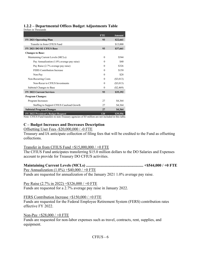## **1.2.2 – Departmental Offices Budget Adjustments Table**

Dollars in Thousands

|                                                              | <b>FTE</b> | <b>Amount</b> |
|--------------------------------------------------------------|------------|---------------|
| <b>FY 2021 Operating Plan</b>                                | 93         | \$22,661      |
| Transfer in from CFIUS Fund                                  |            | \$15,000      |
| FY 2021 DO SE CFIUS Base                                     | 93         | \$37,661      |
| <b>Changes to Base:</b>                                      |            |               |
| Maintaining Current Levels (MCLs):                           | $\Omega$   | \$544         |
| Pay Annualization (1.0% average pay raise)                   | $\theta$   | \$40          |
| Pay Raise (2.7% average pay raise)                           | $\Omega$   | \$326         |
| <b>FERS</b> Contribution Increase                            | $\theta$   | \$150         |
| Non-Pay                                                      | $\Omega$   | \$28          |
| Non-Recurring Costs                                          | $\theta$   | $(\$3,013)$   |
| Non-Recur to CFIUS Investments                               | $\theta$   | $(\$3,013)$   |
| Subtotal Changes to Base                                     | $\theta$   | $(\$2,469)$   |
| <b>FY 2022 Current Services</b>                              | 93         | \$35,192      |
| <b>Program Changes:</b>                                      |            |               |
| Program Increases:                                           | 27         | \$4,364       |
| Staffing to Support CFIUS Caseload Growth                    | 27         | \$4,364       |
| <b>Subtotal Program Changes</b>                              | 27         | \$4,364       |
| FY 2022 President's Budget Request<br>$\alpha \wedge \alpha$ | 120        | \$39,556<br>. |

Note: CFIUS Fund transfers to non-Treasury agencies of \$5 million are not included in this table.

# **C – Budget Increases and Decreases Description**

#### Offsetting User Fees -\$20,000,000 / -0 FTE

Treasury and IA anticipate collection of filing fees that will be credited to the Fund as offsetting collections.

#### Transfer in from CFIUS Fund  $+\$15,000,000 / +0$  FTE

The CFIUS Fund anticipates transferring \$15.0 million dollars to the DO Salaries and Expenses account to provide for Treasury DO CFIUS activities.

#### **Maintaining Current Levels (MCLs) .......................................................... +\$544,000 / +0 FTE** Pay Annualization  $(1.0\%) + $40,000 / +0$  FTE Funds are requested for annualization of the January 2021 1.0% average pay raise.

#### Pay Raise (2.7% in 2022) +\$326,000 / +0 FTE

Funds are requested for a 2.7% average pay raise in January 2022.

#### FERS Contribution Increase +\$150,000 / +0 FTE

Funds are requested for the Federal Employee Retirement System (FERS) contribution rates effective FY 2022.

#### Non-Pay +\$28,000 / +0 FTE

Funds are requested for non-labor expenses such as travel, contracts, rent, supplies, and equipment.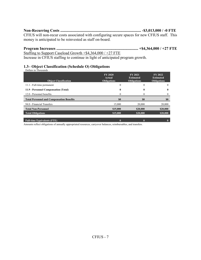**Non-Recurring Costs .................................................................................. -\$3,013,000 / -0 FTE**  CFIUS will non-recur costs associated with configuring secure spaces for new CFIUS staff. This money is anticipated to be reinvested as staff on-board.

**Program Increases ................................................................................... +\$4,364,000 / +27 FTE**  Staffing to Support Caseload Growth +\$4,364,000 / +27 FTE

Increase in CFIUS staffing to continue in light of anticipated program growth.

#### **1.3– Object Classification (Schedule O) Obligations**

| Dollars in Thousands                             |                                                |                                                          |                                                          |
|--------------------------------------------------|------------------------------------------------|----------------------------------------------------------|----------------------------------------------------------|
| <b>Object Classification</b>                     | <b>FY 2020</b><br>Actual<br><b>Obligations</b> | <b>FY 2021</b><br><b>Estimated</b><br><b>Obligations</b> | <b>FY 2022</b><br><b>Estimated</b><br><b>Obligations</b> |
| 11.1 - Full-time permanent                       | $\theta$                                       | $\theta$                                                 | $\theta$                                                 |
| 11.9 - Personnel Compensation (Total)            | 0                                              | 0                                                        | $\mathbf{0}$                                             |
| 12.0 - Personnel benefits                        | $\Omega$                                       |                                                          | $\Omega$                                                 |
| <b>Total Personnel and Compensation Benefits</b> | \$0                                            | \$0                                                      | \$0                                                      |
| 94.0 - Financial Transfers                       | 15,000                                         | 20,000                                                   | 20,000                                                   |
| <b>Total Non-Personnel</b>                       | \$15,000                                       | \$20,000                                                 | \$20,000                                                 |
| <b>Total Obligations</b>                         | \$15,000                                       | \$20,000                                                 | \$20,000                                                 |
| <b>Full-time Equivalents (FTE)</b>               |                                                | 0                                                        | $\bf{0}$                                                 |

Amounts reflect obligations of annually appropriated resources, carryover balances, reimbursables, and transfers.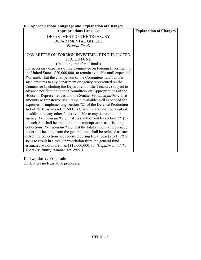| D - Appropriations Language and Explanation of Changes                     |                               |
|----------------------------------------------------------------------------|-------------------------------|
| <b>Appropriations Language</b>                                             | <b>Explanation of Changes</b> |
| DEPARTMENT OF THE TREASURY                                                 |                               |
| DEPARTMENTAL OFFICES                                                       |                               |
| <b>Federal Funds</b>                                                       |                               |
| COMMITTEE ON FOREIGN INVESTMENT IN THE UNITED                              |                               |
| <b>STATES FUND</b>                                                         |                               |
| (Including transfer of funds)                                              |                               |
| For necessary expenses of the Committee on Foreign Investment in           |                               |
| the United States, \$20,000,000, to remain available until expended:       |                               |
| Provided, That the chairperson of the Committee may transfer               |                               |
| such amounts to any department or agency represented on the                |                               |
| Committee (including the Department of the Treasury) subject to            |                               |
| advance notification to the Committees on Appropriations of the            |                               |
| House of Representatives and the Senate: Provided further, That            |                               |
| amounts so transferred shall remain available until expended for           |                               |
| expenses of implementing section 721 of the Defense Production             |                               |
| Act of 1950, as amended (50 U.S.C. 4565), and shall be available           |                               |
| in addition to any other funds available to any department or              |                               |
| agency: <i>Provided further</i> , That fees authorized by section $721(p)$ |                               |
| of such Act shall be credited to this appropriation as offsetting          |                               |
| collections: <i>Provided further</i> , That the total amount appropriated  |                               |
| under this heading from the general fund shall be reduced as such          |                               |
| offsetting collections are received during fiscal year [2021] 2022,        |                               |
| so as to result in a total appropriation from the general fund             |                               |
| estimated at not more than [\$15,000,000]\$0. (Department of the           |                               |
| Treasury Appropriations Act, 2021.)                                        |                               |

# **E – Legislative Proposals**

CFIUS has no legislative proposals.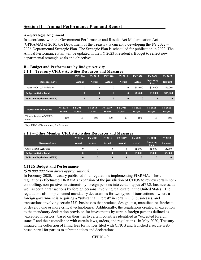# **Section II – Annual Performance Plan and Report**

#### **A – Strategic Alignment**

In accordance with the Government Performance and Results Act Modernization Act (GPRAMA) of 2010, the Department of the Treasury is currently developing the FY 2022 – 2026 Departmental Strategic Plan. The Strategic Plan is scheduled for publication in 2022. The Annual Performance Plan will be updated in the FY 2023 President's Budget to reflect new departmental strategic goals and objectives.

| . .<br>$P^{\mu\nu}$ and I critimated by $P^{\mu\nu}$     |                |                |                |                |                |                                 |                |  |  |  |
|----------------------------------------------------------|----------------|----------------|----------------|----------------|----------------|---------------------------------|----------------|--|--|--|
| 2.1.1 – Treasury CFIUS Activities Resources and Measures |                |                |                |                |                |                                 |                |  |  |  |
|                                                          | <b>FY 2016</b> | <b>FY 2017</b> | <b>FY 2018</b> | <b>FY 2019</b> | <b>FY 2020</b> | <b>FY 2021</b>                  | <b>FY 2022</b> |  |  |  |
| <b>Resource Level</b>                                    | Actual         | <b>Actual</b>  | Actual         | Actual         | Actual         | <b>Operating</b><br><b>Plan</b> | <b>Request</b> |  |  |  |
| Treasury CFIUS Activities                                | $\theta$       | $\theta$       | $\Omega$       | $\mathbf{0}$   | \$15,000       | \$15,000                        | \$15,000       |  |  |  |
| <b>Budget Activity Total</b>                             | $\bf{0}$       | $\mathbf{0}$   | $\bf{0}$       | $\bf{0}$       | \$15,000       | \$15,000                        | \$15,000       |  |  |  |
| <b>Full-time Equivalents (FTE)</b>                       | $\bf{0}$       | $\mathbf{0}$   | $\mathbf{0}$   | $\bf{0}$       | $\bf{0}$       | $\bf{0}$                        | $\bf{0}$       |  |  |  |
|                                                          |                |                |                |                |                |                                 |                |  |  |  |

| B – Budget and Performance by Budget Activity            |
|----------------------------------------------------------|
| 2.1.1 – Treasury CFIUS Activities Resources and Measures |

| Performance Measure             | <b>FY 2016</b> | <b>FY 2017</b> | <b>FY 2018</b> | <b>FY 2019</b> | <b>FY 2020</b> | <b>FY 2020</b> | <b>FY 2021</b> | FY 2022 |
|---------------------------------|----------------|----------------|----------------|----------------|----------------|----------------|----------------|---------|
|                                 | Actual         | Actual         | Actual         | Actual         | Actual         | Target         | Target         | Target  |
| Timely Review of CFIUS<br>cases | 100            | 100            | 100            | 100            | 100            | 100            | 100            | 100     |

Key: DISC - Discontinued; B - Baseline

#### **2.1.2 – Other Member CFIUS Activities Resources and Measures**

|                                    | <b>FY 2016</b> | <b>FY 2017</b> | <b>FY 2018</b> | <b>FY 2019</b> | <b>FY 2020</b> | <b>FY 2021</b>           | FY 2022        |
|------------------------------------|----------------|----------------|----------------|----------------|----------------|--------------------------|----------------|
| <b>Resource Level</b>              | Actual         | Actual         | Actual         | <b>Actual</b>  | Actual         | <b>Operating</b><br>Plan | <b>Request</b> |
| Other CFIUS Activities             |                |                |                |                | \$5,000        | \$5,000                  | \$5,000        |
| <b>Budget Activity Total</b>       | 0              | O              | 0              | $\bf{0}$       | \$5,000        | \$5,000                  | \$5,000        |
| <b>Full-time Equivalents (FTE)</b> |                | $\mathbf{0}$   | 0              | $\bf{0}$       | $\bf{0}$       |                          | $\bf{0}$       |

#### **CFIUS Budget and Performance**

*(\$20,000,000 from direct appropriations):* 

In February 2020, Treasury published final regulations implementing FIRRMA. These regulations effectuated FIRRMA's expansion of the jurisdiction of CFIUS to review certain noncontrolling, non-passive investments by foreign persons into certain types of U.S. businesses, as well as certain transactions by foreign persons involving real estate in the United States. The regulations also implemented mandatory declarations for two types of transactions—where a foreign government is acquiring a "substantial interest" in certain U.S. businesses, and transactions involving certain U.S. businesses that produce, design, test, manufacture, fabricate, or develop one or more critical technologies. Additionally, the regulations created an exception to the mandatory declaration provision for investments by certain foreign persons defined as "excepted investors" based on their ties to certain countries identified as "excepted foreign states," and their compliance with certain laws, orders, and regulations. In May 2020, Treasury initiated the collection of filing fees for notices filed with CFIUS and launched a secure webbased portal for parties to submit notices and declarations.